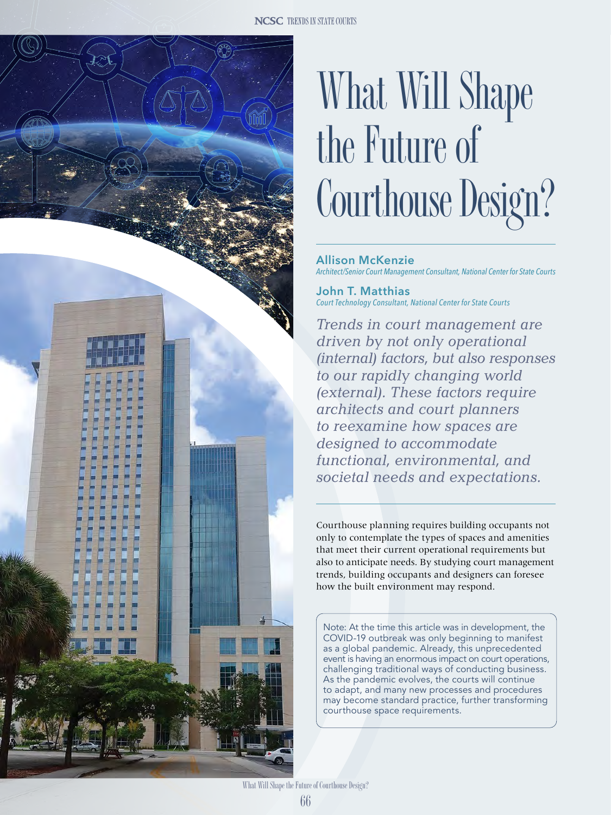

**Allison McKenzie** *Architect/Senior Court Management Consultant, National Center for State Courts*

**John T. Matthias** *Court Technology Consultant, National Center for State Courts*

*Trends in court management are driven by not only operational (internal) factors, but also responses to our rapidly changing world (external). These factors require architects and court planners to reexamine how spaces are designed to accommodate functional, environmental, and societal needs and expectations.*

Courthouse planning requires building occupants not only to contemplate the types of spaces and amenities that meet their current operational requirements but also to anticipate needs. By studying court management trends, building occupants and designers can foresee how the built environment may respond.

Note: At the time this article was in development, the COVID-19 outbreak was only beginning to manifest as a global pandemic. Already, this unprecedented event is having an enormous impact on court operations, challenging traditional ways of conducting business. As the pandemic evolves, the courts will continue to adapt, and many new processes and procedures may become standard practice, further transforming courthouse space requirements.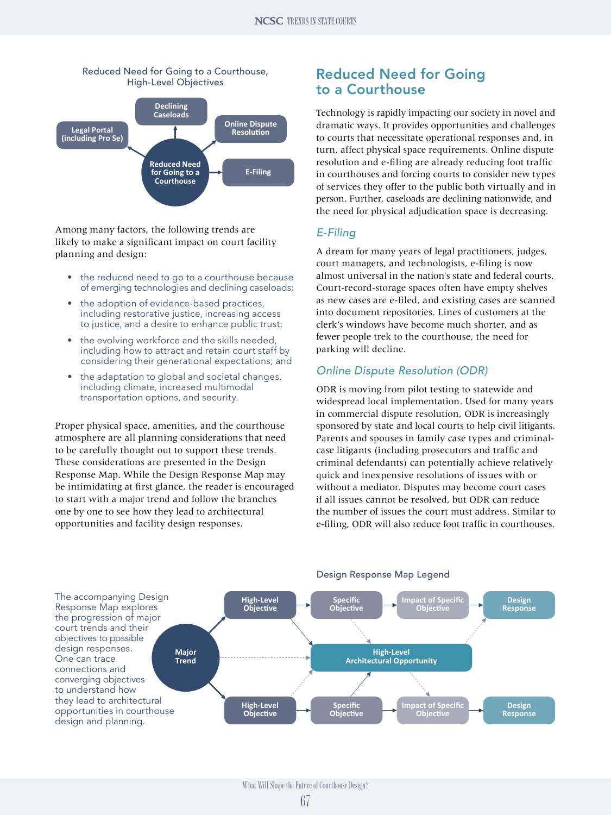



Among many factors, the following trends are likely to make a significant impact on court facility planning and design:

- the reduced need to go to a courthouse because of emerging technologies and declining caseloads;
- the adoption of evidence-based practices, including restorative justice, increasing access to justice, and a desire to enhance public trust;
- the evolving workforce and the skills needed, including how to attract and retain court staff by considering their generational expectations; and
- the adaptation to global and societal changes, including climate, increased multimodal transportation options, and security.

Proper physical space, amenities, and the courthouse atmosphere are all planning considerations that need to be carefully thought out to support these trends. These considerations are presented in the Design Response Map. While the Design Response Map may be intimidating at first glance, the reader is encouraged to start with a major trend and follow the branches one by one to see how they lead to architectural opportunities and facility design responses.

## Reduced Need for Going to a Courthouse

Technology is rapidly impacting our society in novel and dramatic ways. It provides opportunities and challenges to courts that necessitate operational responses and, in turn, affect physical space requirements. Online dispute resolution and e-filing are already reducing foot traffic in courthouses and forcing courts to consider new types of services they offer to the public both virtually and in person. Further, caseloads are declining nationwide, and the need for physical adjudication space is decreasing.

## *E-Filing*

A dream for many years of legal practitioners, judges, court managers, and technologists, e-filing is now almost universal in the nation's state and federal courts. Court-record-storage spaces often have empty shelves as new cases are e-filed, and existing cases are scanned into document repositories. Lines of customers at the clerk's windows have become much shorter, and as fewer people trek to the courthouse, the need for parking will decline.

## *Online Dispute Resolution (ODR)*

ODR is moving from pilot testing to statewide and widespread local implementation. Used for many years in commercial dispute resolution, ODR is increasingly sponsored by state and local courts to help civil litigants. Parents and spouses in family case types and criminalcase litigants (including prosecutors and traffic and criminal defendants) can potentially achieve relatively quick and inexpensive resolutions of issues with or without a mediator. Disputes may become court cases if all issues cannot be resolved, but ODR can reduce the number of issues the court must address. Similar to e-filing, ODR will also reduce foot traffic in courthouses.



#### Design Response Map Legend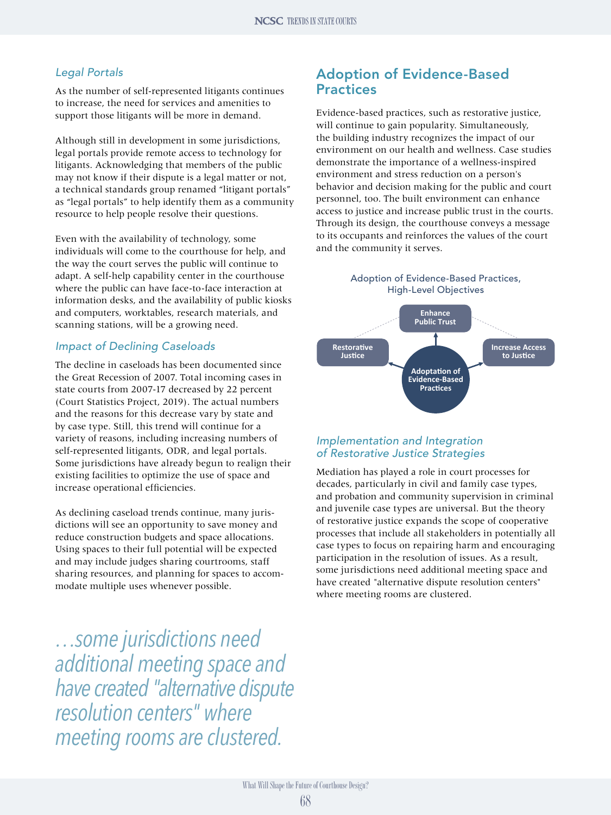#### *Legal Portals*

As the number of self-represented litigants continues to increase, the need for services and amenities to support those litigants will be more in demand.

Although still in development in some jurisdictions, legal portals provide remote access to technology for litigants. Acknowledging that members of the public may not know if their dispute is a legal matter or not, a technical standards group renamed "litigant portals" as "legal portals" to help identify them as a community resource to help people resolve their questions.

Even with the availability of technology, some individuals will come to the courthouse for help, and the way the court serves the public will continue to adapt. A self-help capability center in the courthouse where the public can have face-to-face interaction at information desks, and the availability of public kiosks and computers, worktables, research materials, and scanning stations, will be a growing need.

#### *Impact of Declining Caseloads*

The decline in caseloads has been documented since the Great Recession of 2007. Total incoming cases in state courts from 2007-17 decreased by 22 percent (Court Statistics Project, 2019). The actual numbers and the reasons for this decrease vary by state and by case type. Still, this trend will continue for a variety of reasons, including increasing numbers of self-represented litigants, ODR, and legal portals. Some jurisdictions have already begun to realign their existing facilities to optimize the use of space and increase operational efficiencies.

As declining caseload trends continue, many jurisdictions will see an opportunity to save money and reduce construction budgets and space allocations. Using spaces to their full potential will be expected and may include judges sharing courtrooms, staff sharing resources, and planning for spaces to accommodate multiple uses whenever possible.

*…some jurisdictions need additional meeting space and have created "alternative dispute resolution centers" where meeting rooms are clustered.*

## Adoption of Evidence-Based Practices

Evidence-based practices, such as restorative justice, will continue to gain popularity. Simultaneously, the building industry recognizes the impact of our environment on our health and wellness. Case studies demonstrate the importance of a wellness-inspired environment and stress reduction on a person's behavior and decision making for the public and court personnel, too. The built environment can enhance access to justice and increase public trust in the courts. Through its design, the courthouse conveys a message to its occupants and reinforces the values of the court and the community it serves.

> Adoption of Evidence-Based Practices, High-Level Objectives



#### *Implementation and Integration of Restorative Justice Strategies*

Mediation has played a role in court processes for decades, particularly in civil and family case types, and probation and community supervision in criminal and juvenile case types are universal. But the theory of restorative justice expands the scope of cooperative processes that include all stakeholders in potentially all case types to focus on repairing harm and encouraging participation in the resolution of issues. As a result, some jurisdictions need additional meeting space and have created "alternative dispute resolution centers" where meeting rooms are clustered.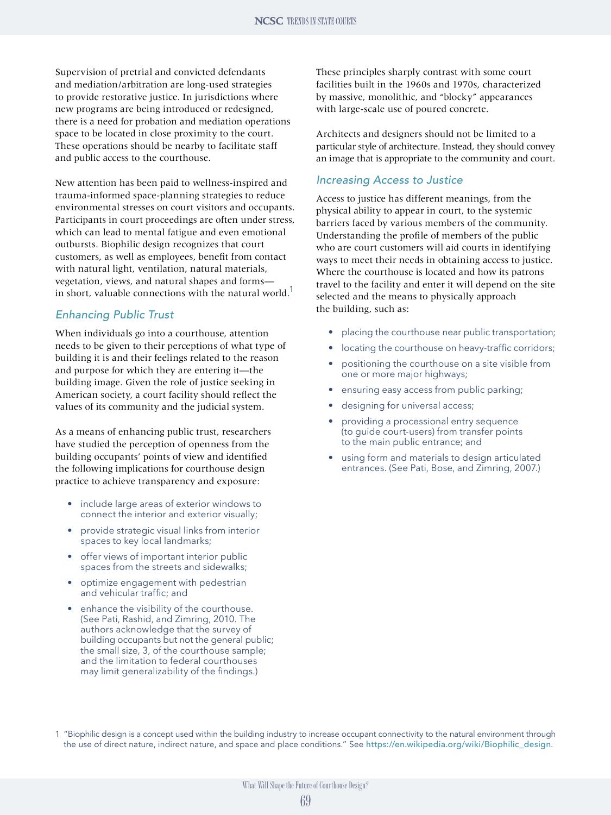Supervision of pretrial and convicted defendants and mediation/arbitration are long-used strategies to provide restorative justice. In jurisdictions where new programs are being introduced or redesigned, there is a need for probation and mediation operations space to be located in close proximity to the court. These operations should be nearby to facilitate staff and public access to the courthouse.

New attention has been paid to wellness-inspired and trauma-informed space-planning strategies to reduce environmental stresses on court visitors and occupants. Participants in court proceedings are often under stress, which can lead to mental fatigue and even emotional outbursts. Biophilic design recognizes that court customers, as well as employees, benefit from contact with natural light, ventilation, natural materials, vegetation, views, and natural shapes and forms in short, valuable connections with the natural world.<sup>1</sup>

#### *Enhancing Public Trust*

When individuals go into a courthouse, attention needs to be given to their perceptions of what type of building it is and their feelings related to the reason and purpose for which they are entering it—the building image. Given the role of justice seeking in American society, a court facility should reflect the values of its community and the judicial system.

As a means of enhancing public trust, researchers have studied the perception of openness from the building occupants' points of view and identified the following implications for courthouse design practice to achieve transparency and exposure:

- include large areas of exterior windows to connect the interior and exterior visually;
- provide strategic visual links from interior spaces to key local landmarks;
- offer views of important interior public spaces from the streets and sidewalks;
- optimize engagement with pedestrian and vehicular traffic; and
- enhance the visibility of the courthouse. (See Pati, Rashid, and Zimring, 2010. The authors acknowledge that the survey of building occupants but not the general public; the small size, 3, of the courthouse sample; and the limitation to federal courthouses may limit generalizability of the findings.)

These principles sharply contrast with some court facilities built in the 1960s and 1970s, characterized by massive, monolithic, and "blocky" appearances with large-scale use of poured concrete.

Architects and designers should not be limited to a particular style of architecture. Instead, they should convey an image that is appropriate to the community and court.

#### *Increasing Access to Justice*

Access to justice has different meanings, from the physical ability to appear in court, to the systemic barriers faced by various members of the community. Understanding the profile of members of the public who are court customers will aid courts in identifying ways to meet their needs in obtaining access to justice. Where the courthouse is located and how its patrons travel to the facility and enter it will depend on the site selected and the means to physically approach the building, such as:

- placing the courthouse near public transportation;
- locating the courthouse on heavy-traffic corridors;
- positioning the courthouse on a site visible from one or more major highways;
- ensuring easy access from public parking;
- designing for universal access;
- providing a processional entry sequence (to guide court-users) from transfer points to the main public entrance; and
- using form and materials to design articulated entrances. (See Pati, Bose, and Zimring, 2007.)

1 "Biophilic design is a concept used within the building industry to increase occupant connectivity to the natural environment through the use of direct nature, indirect nature, and space and place conditions." See [https://en.wikipedia.org/wiki/Biophilic\\_design](https://en.wikipedia.org/wiki/Biophilic_design).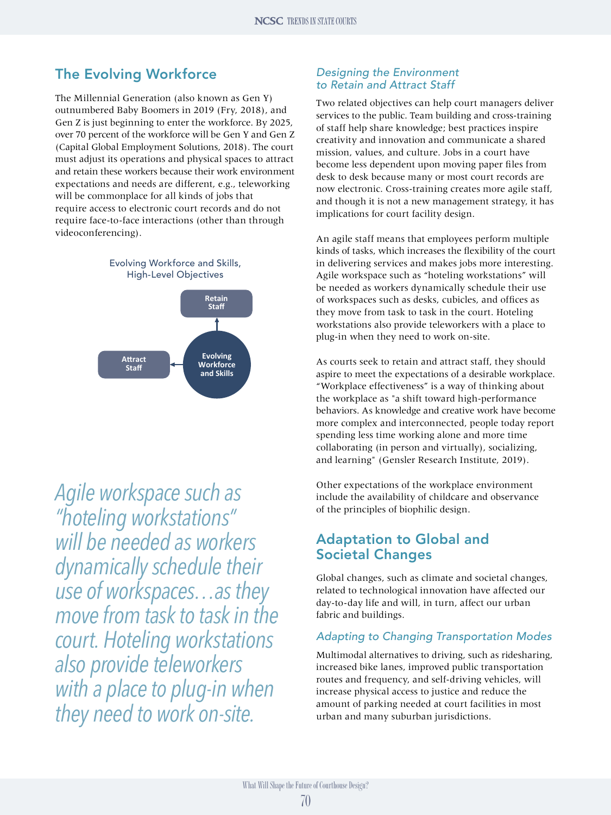# The Evolving Workforce

The Millennial Generation (also known as Gen Y) outnumbered Baby Boomers in 2019 (Fry, 2018), and Gen Z is just beginning to enter the workforce. By 2025, over 70 percent of the workforce will be Gen Y and Gen Z (Capital Global Employment Solutions, 2018). The court must adjust its operations and physical spaces to attract and retain these workers because their work environment expectations and needs are different, e.g., teleworking will be commonplace for all kinds of jobs that require access to electronic court records and do not require face-to-face interactions (other than through videoconferencing).



*Agile workspace such as "hoteling workstations" will be needed as workers dynamically schedule their use of workspaces…as they move from task to task in the court. Hoteling workstations also provide teleworkers with a place to plug-in when they need to work on-site.*

### *Designing the Environment to Retain and Attract Staff*

Two related objectives can help court managers deliver services to the public. Team building and cross-training of staff help share knowledge; best practices inspire creativity and innovation and communicate a shared mission, values, and culture. Jobs in a court have become less dependent upon moving paper files from desk to desk because many or most court records are now electronic. Cross-training creates more agile staff, and though it is not a new management strategy, it has implications for court facility design.

An agile staff means that employees perform multiple kinds of tasks, which increases the flexibility of the court in delivering services and makes jobs more interesting. Agile workspace such as "hoteling workstations" will be needed as workers dynamically schedule their use of workspaces such as desks, cubicles, and offices as they move from task to task in the court. Hoteling workstations also provide teleworkers with a place to plug-in when they need to work on-site.

As courts seek to retain and attract staff, they should aspire to meet the expectations of a desirable workplace. "Workplace effectiveness" is a way of thinking about the workplace as "a shift toward high-performance behaviors. As knowledge and creative work have become more complex and interconnected, people today report spending less time working alone and more time collaborating (in person and virtually), socializing, and learning" (Gensler Research Institute, 2019).

Other expectations of the workplace environment include the availability of childcare and observance of the principles of biophilic design.

# Adaptation to Global and Societal Changes

Global changes, such as climate and societal changes, related to technological innovation have affected our day-to-day life and will, in turn, affect our urban fabric and buildings.

## *Adapting to Changing Transportation Modes*

Multimodal alternatives to driving, such as ridesharing, increased bike lanes, improved public transportation routes and frequency, and self-driving vehicles, will increase physical access to justice and reduce the amount of parking needed at court facilities in most urban and many suburban jurisdictions.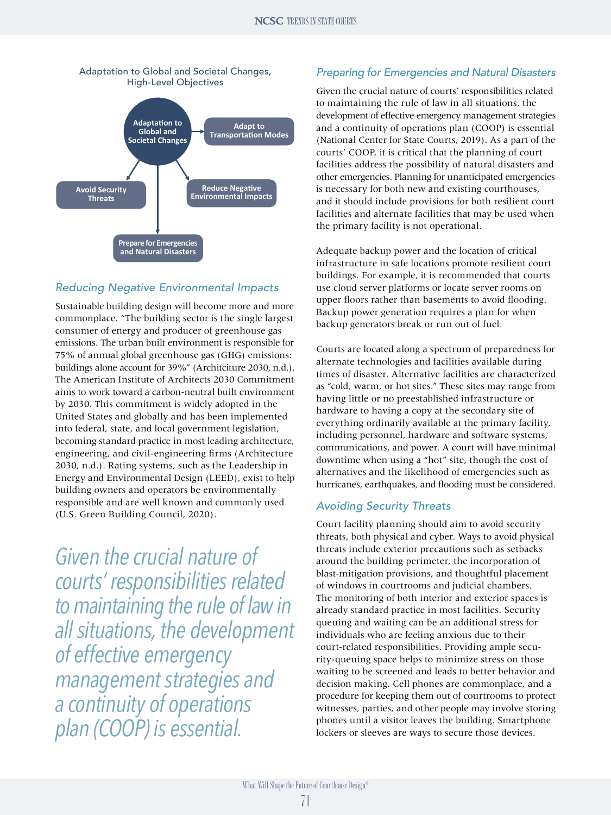

## *Reducing Negative Environmental Impacts*

Sustainable building design will become more and more commonplace. "The building sector is the single largest consumer of energy and producer of greenhouse gas emissions. The urban built environment is responsible for 75% of annual global greenhouse gas (GHG) emissions: buildings alone account for 39%" (Architciture 2030, n.d.). The American Institute of Architects 2030 Commitment aims to work toward a carbon-neutral built environment by 2030. This commitment is widely adopted in the United States and globally and has been implemented into federal, state, and local government legislation, becoming standard practice in most leading architecture, engineering, and civil-engineering firms (Architecture 2030, n.d.). Rating systems, such as the Leadership in Energy and Environmental Design (LEED), exist to help building owners and operators be environmentally responsible and are well known and commonly used (U.S. Green Building Council, 2020).

*Given the crucial nature of courts' responsibilities related to maintaining the rule of law in all situations, the development of effective emergency management strategies and a continuity of operations plan (COOP) is essential.*

### *Preparing for Emergencies and Natural Disasters*

Given the crucial nature of courts' responsibilities related to maintaining the rule of law in all situations, the development of effective emergency management strategies and a continuity of operations plan (COOP) is essential (National Center for State Courts, 2019). As a part of the courts' COOP, it is critical that the planning of court facilities address the possibility of natural disasters and other emergencies. Planning for unanticipated emergencies is necessary for both new and existing courthouses, and it should include provisions for both resilient court facilities and alternate facilities that may be used when the primary facility is not operational.

Adequate backup power and the location of critical infrastructure in safe locations promote resilient court buildings. For example, it is recommended that courts use cloud server platforms or locate server rooms on upper floors rather than basements to avoid flooding. Backup power generation requires a plan for when backup generators break or run out of fuel.

Courts are located along a spectrum of preparedness for alternate technologies and facilities available during times of disaster. Alternative facilities are characterized as "cold, warm, or hot sites." These sites may range from having little or no preestablished infrastructure or hardware to having a copy at the secondary site of everything ordinarily available at the primary facility, including personnel, hardware and software systems, communications, and power. A court will have minimal downtime when using a "hot" site, though the cost of alternatives and the likelihood of emergencies such as hurricanes, earthquakes, and flooding must be considered.

### *Avoiding Security Threats*

Court facility planning should aim to avoid security threats, both physical and cyber. Ways to avoid physical threats include exterior precautions such as setbacks around the building perimeter, the incorporation of blast-mitigation provisions, and thoughtful placement of windows in courtrooms and judicial chambers. The monitoring of both interior and exterior spaces is already standard practice in most facilities. Security queuing and waiting can be an additional stress for individuals who are feeling anxious due to their court-related responsibilities. Providing ample security-queuing space helps to minimize stress on those waiting to be screened and leads to better behavior and decision making. Cell phones are commonplace, and a procedure for keeping them out of courtrooms to protect witnesses, parties, and other people may involve storing phones until a visitor leaves the building. Smartphone lockers or sleeves are ways to secure those devices.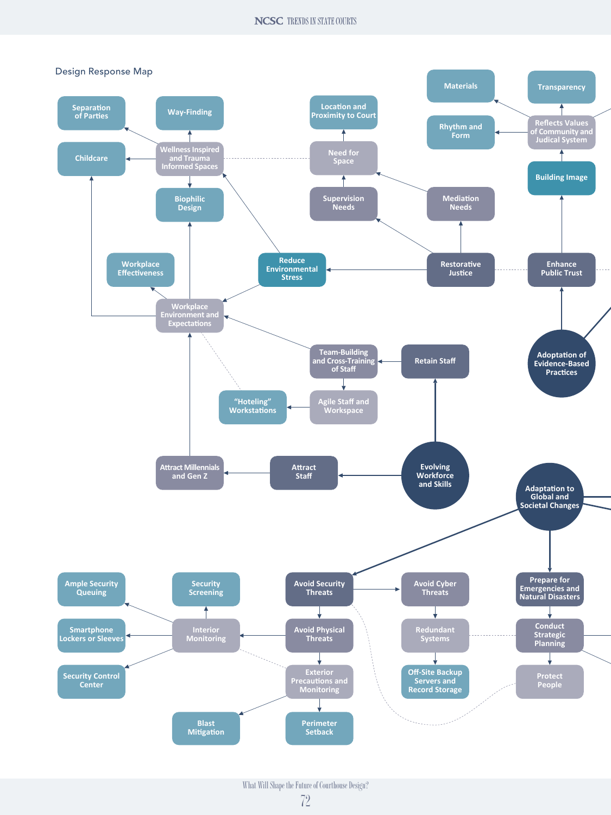#### **NCSC** TRENDS IN STATE COURTS

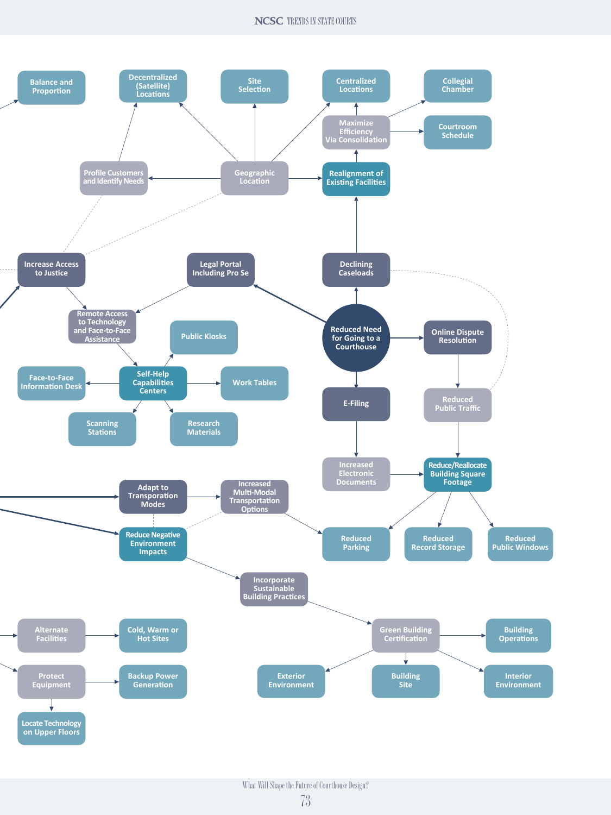#### **NCSC** TRENDS IN STATE COURTS

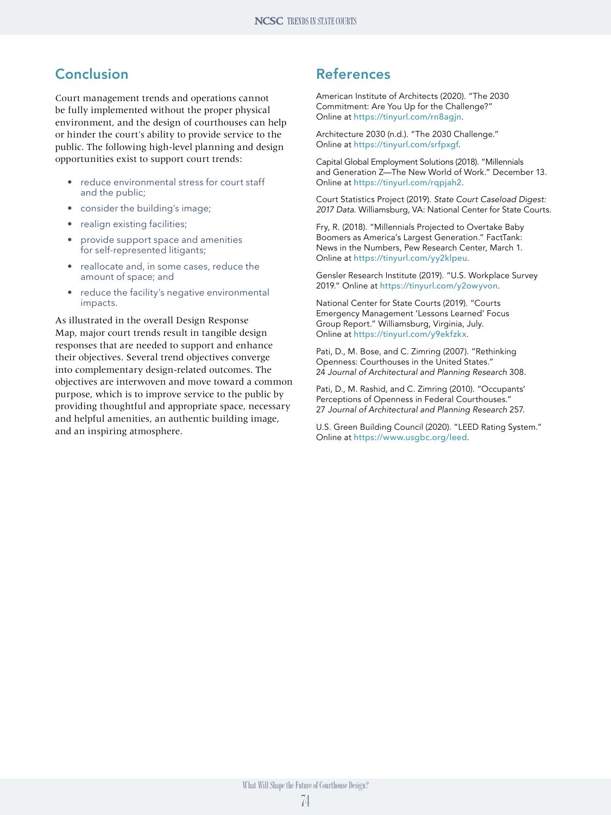# **Conclusion**

Court management trends and operations cannot be fully implemented without the proper physical environment, and the design of courthouses can help or hinder the court's ability to provide service to the public. The following high-level planning and design opportunities exist to support court trends:

- reduce environmental stress for court staff and the public;
- consider the building's image;
- realign existing facilities;
- provide support space and amenities for self-represented litigants;
- reallocate and, in some cases, reduce the amount of space; and
- reduce the facility's negative environmental impacts.

As illustrated in the overall Design Response Map, major court trends result in tangible design responses that are needed to support and enhance their objectives. Several trend objectives converge into complementary design-related outcomes. The objectives are interwoven and move toward a common purpose, which is to improve service to the public by providing thoughtful and appropriate space, necessary and helpful amenities, an authentic building image, and an inspiring atmosphere.

## References

American Institute of Architects (2020). "The 2030 Commitment: Are You Up for the Challenge?" Online at <https://tinyurl.com/rn8agjn>.

Architecture 2030 (n.d.). "The 2030 Challenge." Online at <https://tinyurl.com/srfpxgf>.

Capital Global Employment Solutions (2018). "Millennials and Generation Z—The New World of Work." December 13. Online at <https://tinyurl.com/rqpjah2>.

Court Statistics Project (2019). *State Court Caseload Digest: 2017 Data*. Williamsburg, VA: National Center for State Courts.

Fry, R. (2018). "Millennials Projected to Overtake Baby Boomers as America's Largest Generation." FactTank: News in the Numbers, Pew Research Center, March 1. Online at <https://tinyurl.com/yy2klpeu>.

Gensler Research Institute (2019). "U.S. Workplace Survey 2019." Online at <https://tinyurl.com/y2owyvon>.

National Center for State Courts (2019). "Courts Emergency Management 'Lessons Learned' Focus Group Report." Williamsburg, Virginia, July. Online at <https://tinyurl.com/y9ekfzkx>.

Pati, D., M. Bose, and C. Zimring (2007). "Rethinking Openness: Courthouses in the United States." 24 *Journal of Architectural and Planning Research* 308.

Pati, D., M. Rashid, and C. Zimring (2010). "Occupants' Perceptions of Openness in Federal Courthouses." 27 *Journal of Architectural and Planning Research* 257.

U.S. Green Building Council (2020). "LEED Rating System." Online at <https://www.usgbc.org/leed>.